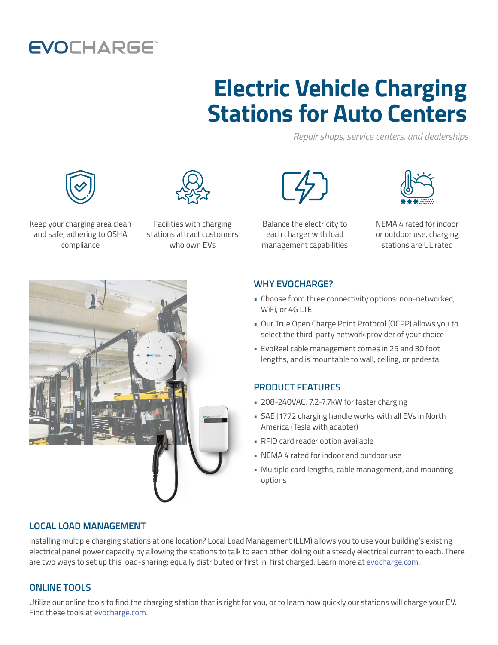## **EVOCHARGE**

# **Electric Vehicle Charging Stations for Auto Centers**

*Repair shops, service centers, and dealerships*





Keep your charging area clean and safe, adhering to OSHA compliance

Facilities with charging stations attract customers who own EVs



Balance the electricity to each charger with load management capabilities



NEMA 4 rated for indoor or outdoor use, charging stations are UL rated



#### **WHY EVOCHARGE?**

- Choose from three connectivity options: non-networked, WiFi, or 4G LTE
- Our True Open Charge Point Protocol (OCPP) allows you to select the third-party network provider of your choice
- EvoReel cable management comes in 25 and 30 foot lengths, and is mountable to wall, ceiling, or pedestal

#### **PRODUCT FEATURES**

- 208-240VAC, 7.2-7.7kW for faster charging
- SAE J1772 charging handle works with all EVs in North America (Tesla with adapter)
- RFID card reader option available
- NEMA 4 rated for indoor and outdoor use
- Multiple cord lengths, cable management, and mounting options

### **LOCAL LOAD MANAGEMENT**

Installing multiple charging stations at one location? Local Load Management (LLM) allows you to use your building's existing electrical panel power capacity by allowing the stations to talk to each other, doling out a steady electrical current to each. There are two ways to set up this load-sharing: equally distributed or first in, first charged. Learn more at [evocharge.com.](http://evocharge.com)

### **ONLINE TOOLS**

Utilize our online tools to find the charging station that is right for you, or to learn how quickly our stations will charge your EV. Find these tools at [evocharge.com.](http://evocharge.com)